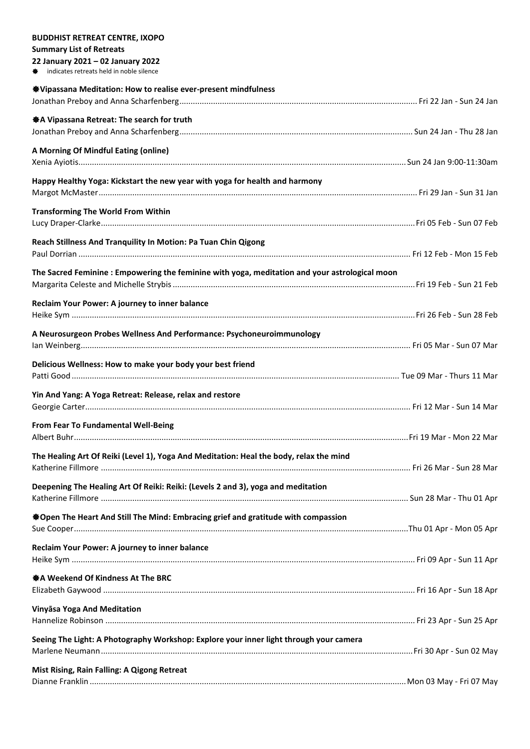| <b>BUDDHIST RETREAT CENTRE, IXOPO</b>                                                         |  |
|-----------------------------------------------------------------------------------------------|--|
| <b>Summary List of Retreats</b>                                                               |  |
| 22 January 2021 - 02 January 2022                                                             |  |
| indicates retreats held in noble silence                                                      |  |
| <b>Solution</b> Weditation: How to realise ever-present mindfulness                           |  |
|                                                                                               |  |
|                                                                                               |  |
| ※ A Vipassana Retreat: The search for truth                                                   |  |
|                                                                                               |  |
| A Morning Of Mindful Eating (online)                                                          |  |
|                                                                                               |  |
|                                                                                               |  |
| Happy Healthy Yoga: Kickstart the new year with yoga for health and harmony                   |  |
|                                                                                               |  |
| <b>Transforming The World From Within</b>                                                     |  |
|                                                                                               |  |
|                                                                                               |  |
| Reach Stillness And Tranquility In Motion: Pa Tuan Chin Qigong                                |  |
|                                                                                               |  |
|                                                                                               |  |
| The Sacred Feminine: Empowering the feminine with yoga, meditation and your astrological moon |  |
|                                                                                               |  |
| Reclaim Your Power: A journey to inner balance                                                |  |
|                                                                                               |  |
|                                                                                               |  |
| A Neurosurgeon Probes Wellness And Performance: Psychoneuroimmunology                         |  |
|                                                                                               |  |
| Delicious Wellness: How to make your body your best friend                                    |  |
|                                                                                               |  |
|                                                                                               |  |
| Yin And Yang: A Yoga Retreat: Release, relax and restore                                      |  |
|                                                                                               |  |
| From Fear To Fundamental Well-Being                                                           |  |
|                                                                                               |  |
|                                                                                               |  |
| The Healing Art Of Reiki (Level 1), Yoga And Meditation: Heal the body, relax the mind        |  |
|                                                                                               |  |
| Deepening The Healing Art Of Reiki: Reiki: (Levels 2 and 3), yoga and meditation              |  |
|                                                                                               |  |
|                                                                                               |  |
| <b>SOpen The Heart And Still The Mind: Embracing grief and gratitude with compassion</b>      |  |
|                                                                                               |  |
| Reclaim Your Power: A journey to inner balance                                                |  |
|                                                                                               |  |
|                                                                                               |  |
| ※ A Weekend Of Kindness At The BRC                                                            |  |
|                                                                                               |  |
|                                                                                               |  |
| Vinyāsa Yoga And Meditation                                                                   |  |
|                                                                                               |  |
| Seeing The Light: A Photography Workshop: Explore your inner light through your camera        |  |
|                                                                                               |  |
|                                                                                               |  |
| Mist Rising, Rain Falling: A Qigong Retreat                                                   |  |
|                                                                                               |  |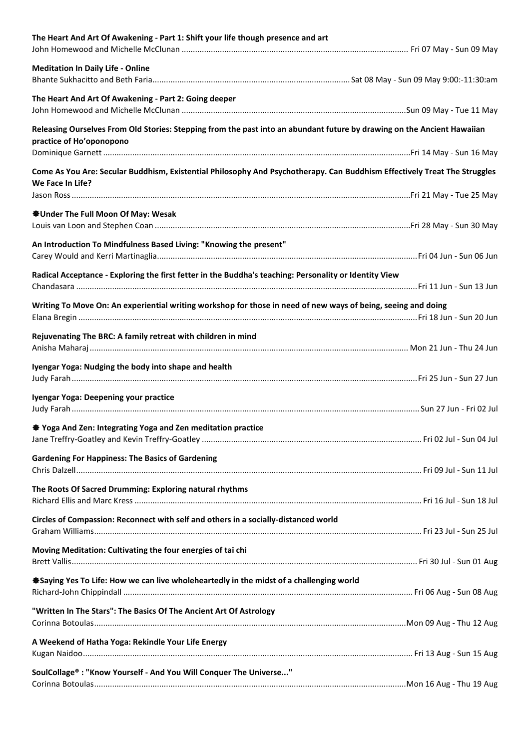| The Heart And Art Of Awakening - Part 1: Shift your life though presence and art                                                                    |  |
|-----------------------------------------------------------------------------------------------------------------------------------------------------|--|
| <b>Meditation In Daily Life - Online</b>                                                                                                            |  |
| The Heart And Art Of Awakening - Part 2: Going deeper                                                                                               |  |
| Releasing Ourselves From Old Stories: Stepping from the past into an abundant future by drawing on the Ancient Hawaiian<br>practice of Ho'oponopono |  |
|                                                                                                                                                     |  |
| Come As You Are: Secular Buddhism, Existential Philosophy And Psychotherapy. Can Buddhism Effectively Treat The Struggles<br>We Face In Life?       |  |
|                                                                                                                                                     |  |
| <b>WOMAN BY A SHOW SHOWSON ST</b> Under The Full Moon Of May: Wesak                                                                                 |  |
| An Introduction To Mindfulness Based Living: "Knowing the present"                                                                                  |  |
| Radical Acceptance - Exploring the first fetter in the Buddha's teaching: Personality or Identity View                                              |  |
| Writing To Move On: An experiential writing workshop for those in need of new ways of being, seeing and doing                                       |  |
| Rejuvenating The BRC: A family retreat with children in mind                                                                                        |  |
| Iyengar Yoga: Nudging the body into shape and health                                                                                                |  |
| Iyengar Yoga: Deepening your practice                                                                                                               |  |
| <b>Starff</b> Yoga And Zen: Integrating Yoga and Zen meditation practice                                                                            |  |
| <b>Gardening For Happiness: The Basics of Gardening</b>                                                                                             |  |
| The Roots Of Sacred Drumming: Exploring natural rhythms                                                                                             |  |
| Circles of Compassion: Reconnect with self and others in a socially-distanced world                                                                 |  |
| Moving Meditation: Cultivating the four energies of tai chi                                                                                         |  |
| *Saying Yes To Life: How we can live wholeheartedly in the midst of a challenging world                                                             |  |
| "Written In The Stars": The Basics Of The Ancient Art Of Astrology                                                                                  |  |
| A Weekend of Hatha Yoga: Rekindle Your Life Energy                                                                                                  |  |
| SoulCollage® : "Know Yourself - And You Will Conquer The Universe"                                                                                  |  |
|                                                                                                                                                     |  |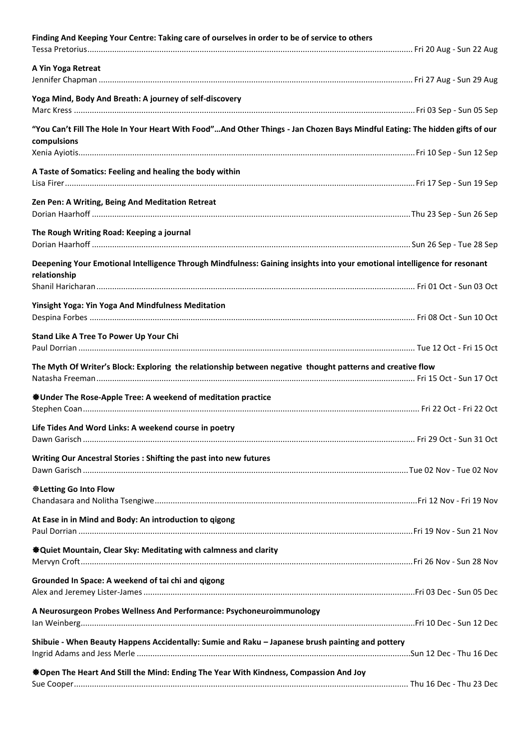| Finding And Keeping Your Centre: Taking care of ourselves in order to be of service to others                                              |  |
|--------------------------------------------------------------------------------------------------------------------------------------------|--|
| A Yin Yoga Retreat                                                                                                                         |  |
| Yoga Mind, Body And Breath: A journey of self-discovery                                                                                    |  |
| "You Can't Fill The Hole In Your Heart With Food"And Other Things - Jan Chozen Bays Mindful Eating: The hidden gifts of our<br>compulsions |  |
|                                                                                                                                            |  |
| A Taste of Somatics: Feeling and healing the body within                                                                                   |  |
| Zen Pen: A Writing, Being And Meditation Retreat                                                                                           |  |
| The Rough Writing Road: Keeping a journal                                                                                                  |  |
| Deepening Your Emotional Intelligence Through Mindfulness: Gaining insights into your emotional intelligence for resonant<br>relationship  |  |
|                                                                                                                                            |  |
| Yinsight Yoga: Yin Yoga And Mindfulness Meditation                                                                                         |  |
| Stand Like A Tree To Power Up Your Chi                                                                                                     |  |
| The Myth Of Writer's Block: Exploring the relationship between negative thought patterns and creative flow                                 |  |
| <b><math>\triangleq</math>Under The Rose-Apple Tree: A weekend of meditation practice</b>                                                  |  |
| Life Tides And Word Links: A weekend course in poetry                                                                                      |  |
| Writing Our Ancestral Stories : Shifting the past into new futures                                                                         |  |
| <b>Weletting Go Into Flow</b>                                                                                                              |  |
| At Ease in in Mind and Body: An introduction to qigong                                                                                     |  |
| <b><math>\bigcirc</math></b> Quiet Mountain, Clear Sky: Meditating with calmness and clarity                                               |  |
| Grounded In Space: A weekend of tai chi and qigong                                                                                         |  |
| A Neurosurgeon Probes Wellness And Performance: Psychoneuroimmunology                                                                      |  |
| Shibuie - When Beauty Happens Accidentally: Sumie and Raku - Japanese brush painting and pottery                                           |  |
| ※Open The Heart And Still the Mind: Ending The Year With Kindness, Compassion And Joy                                                      |  |